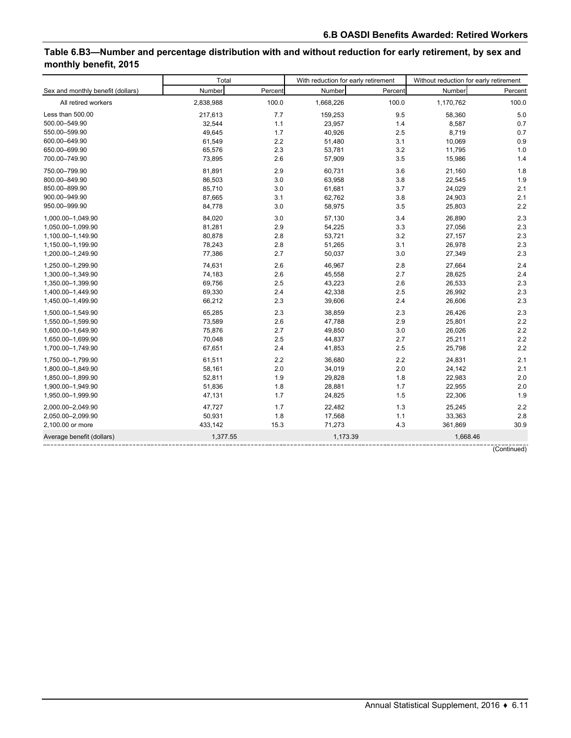# **Table 6.B3—Number and percentage distribution with and without reduction for early retirement, by sex and monthly benefit, 2015**

|                                   | Total     |         | With reduction for early retirement |         | Without reduction for early retirement |             |  |
|-----------------------------------|-----------|---------|-------------------------------------|---------|----------------------------------------|-------------|--|
| Sex and monthly benefit (dollars) | Number    | Percent | Number                              | Percent | Number                                 | Percent     |  |
| All retired workers               | 2,838,988 | 100.0   | 1,668,226                           | 100.0   | 1,170,762                              | 100.0       |  |
| Less than 500.00                  | 217,613   | 7.7     | 159,253                             | 9.5     | 58,360                                 | 5.0         |  |
| 500.00-549.90                     | 32,544    | 1.1     | 23,957                              | 1.4     | 8,587                                  | 0.7         |  |
| 550.00-599.90                     | 49,645    | 1.7     | 40,926                              | 2.5     | 8,719                                  | 0.7         |  |
| 600.00-649.90                     | 61,549    | 2.2     | 51,480                              | 3.1     | 10,069                                 | 0.9         |  |
| 650.00-699.90                     | 65,576    | 2.3     | 53,781                              | 3.2     | 11,795                                 | 1.0         |  |
| 700.00-749.90                     | 73,895    | 2.6     | 57,909                              | 3.5     | 15,986                                 | 1.4         |  |
| 750.00-799.90                     | 81,891    | 2.9     | 60,731                              | 3.6     | 21,160                                 | 1.8         |  |
| 800.00-849.90                     | 86,503    | 3.0     | 63,958                              | 3.8     | 22,545                                 | 1.9         |  |
| 850.00-899.90                     | 85,710    | 3.0     | 61,681                              | 3.7     | 24,029                                 | 2.1         |  |
| 900.00-949.90                     | 87,665    | 3.1     | 62,762                              | 3.8     | 24,903                                 | 2.1         |  |
| 950.00-999.90                     | 84,778    | 3.0     | 58,975                              | 3.5     | 25,803                                 | 2.2         |  |
| 1.000.00-1.049.90                 | 84,020    | 3.0     | 57,130                              | 3.4     | 26,890                                 | 2.3         |  |
| 1,050.00-1,099.90                 | 81,281    | 2.9     | 54,225                              | 3.3     | 27,056                                 | 2.3         |  |
| 1,100.00-1,149.90                 | 80,878    | 2.8     | 53,721                              | 3.2     | 27,157                                 | 2.3         |  |
| 1,150.00-1,199.90                 | 78,243    | 2.8     | 51,265                              | 3.1     | 26,978                                 | 2.3         |  |
| 1,200.00-1,249.90                 | 77,386    | 2.7     | 50,037                              | 3.0     | 27,349                                 | 2.3         |  |
| 1,250.00-1,299.90                 | 74,631    | 2.6     | 46,967                              | 2.8     | 27,664                                 | 2.4         |  |
| 1,300.00-1,349.90                 | 74,183    | 2.6     | 45,558                              | 2.7     | 28,625                                 | 2.4         |  |
| 1,350.00-1,399.90                 | 69,756    | 2.5     | 43,223                              | 2.6     | 26,533                                 | 2.3         |  |
| 1,400.00-1,449.90                 | 69,330    | 2.4     | 42,338                              | 2.5     | 26,992                                 | 2.3         |  |
| 1,450.00-1,499.90                 | 66,212    | 2.3     | 39,606                              | 2.4     | 26,606                                 | 2.3         |  |
| 1,500.00-1,549.90                 | 65,285    | 2.3     | 38,859                              | 2.3     | 26,426                                 | 2.3         |  |
| 1,550.00-1,599.90                 | 73,589    | 2.6     | 47,788                              | 2.9     | 25,801                                 | 2.2         |  |
| 1,600.00-1,649.90                 | 75,876    | 2.7     | 49,850                              | 3.0     | 26,026                                 | 2.2         |  |
| 1,650.00-1,699.90                 | 70,048    | 2.5     | 44,837                              | 2.7     | 25,211                                 | 2.2         |  |
| 1,700.00-1,749.90                 | 67,651    | 2.4     | 41,853                              | 2.5     | 25,798                                 | 2.2         |  |
| 1,750.00-1,799.90                 | 61,511    | 2.2     | 36,680                              | 2.2     | 24,831                                 | 2.1         |  |
| 1,800.00-1,849.90                 | 58,161    | 2.0     | 34,019                              | 2.0     | 24,142                                 | 2.1         |  |
| 1,850.00-1,899.90                 | 52,811    | 1.9     | 29,828                              | 1.8     | 22,983                                 | 2.0         |  |
| 1,900.00-1,949.90                 | 51,836    | 1.8     | 28,881                              | 1.7     | 22,955                                 | 2.0         |  |
| 1,950.00-1,999.90                 | 47,131    | 1.7     | 24,825                              | 1.5     | 22,306                                 | 1.9         |  |
| 2,000.00-2,049.90                 | 47,727    | 1.7     | 22,482                              | 1.3     | 25,245                                 | 2.2         |  |
| 2,050.00-2,099.90                 | 50,931    | 1.8     | 17,568                              | 1.1     | 33,363                                 | 2.8         |  |
| 2,100.00 or more                  | 433,142   | 15.3    | 71,273                              | 4.3     | 361,869                                | 30.9        |  |
| Average benefit (dollars)         | 1,377.55  |         | 1,173.39                            |         | 1.668.46                               |             |  |
|                                   |           |         |                                     |         |                                        | (Continued) |  |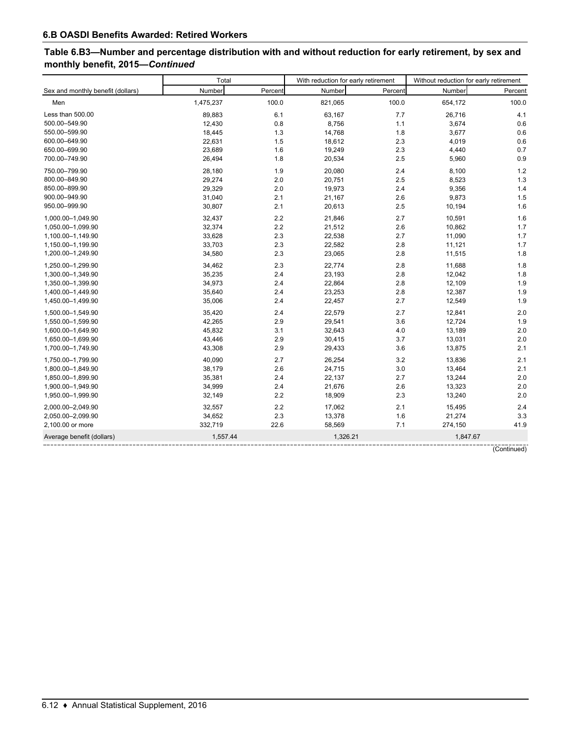# **Table 6.B3—Number and percentage distribution with and without reduction for early retirement, by sex and monthly benefit, 2015—***Continued*

|                                   | Total     |         |          | With reduction for early retirement | Without reduction for early retirement |             |  |
|-----------------------------------|-----------|---------|----------|-------------------------------------|----------------------------------------|-------------|--|
| Sex and monthly benefit (dollars) | Number    | Percent | Number   | Percent                             | Number                                 | Percent     |  |
| Men                               | 1,475,237 | 100.0   | 821,065  | 100.0                               | 654,172                                | 100.0       |  |
| Less than 500.00                  | 89,883    | 6.1     | 63,167   | 7.7                                 | 26,716                                 | 4.1         |  |
| 500.00-549.90                     | 12,430    | 0.8     | 8,756    | 1.1                                 | 3,674                                  | 0.6         |  |
| 550.00-599.90                     | 18,445    | 1.3     | 14,768   | 1.8                                 | 3,677                                  | 0.6         |  |
| 600.00-649.90                     | 22,631    | 1.5     | 18,612   | 2.3                                 | 4,019                                  | 0.6         |  |
| 650.00-699.90                     | 23,689    | 1.6     | 19,249   | 2.3                                 | 4,440                                  | 0.7         |  |
| 700.00-749.90                     | 26,494    | 1.8     | 20,534   | 2.5                                 | 5,960                                  | 0.9         |  |
| 750.00-799.90                     | 28,180    | 1.9     | 20,080   | 2.4                                 | 8,100                                  | 1.2         |  |
| 800.00-849.90                     | 29,274    | 2.0     | 20,751   | 2.5                                 | 8,523                                  | 1.3         |  |
| 850.00-899.90                     | 29,329    | 2.0     | 19,973   | 2.4                                 | 9,356                                  | 1.4         |  |
| 900.00-949.90                     | 31,040    | 2.1     | 21,167   | 2.6                                 | 9,873                                  | 1.5         |  |
| 950.00-999.90                     | 30,807    | 2.1     | 20,613   | 2.5                                 | 10,194                                 | 1.6         |  |
| 1,000.00-1,049.90                 | 32,437    | 2.2     | 21,846   | 2.7                                 | 10,591                                 | 1.6         |  |
| 1,050.00-1,099.90                 | 32,374    | 2.2     | 21,512   | 2.6                                 | 10,862                                 | 1.7         |  |
| 1,100.00-1,149.90                 | 33,628    | 2.3     | 22,538   | 2.7                                 | 11,090                                 | 1.7         |  |
| 1,150.00-1,199.90                 | 33,703    | 2.3     | 22,582   | 2.8                                 | 11,121                                 | 1.7         |  |
| 1,200.00-1,249.90                 | 34,580    | 2.3     | 23,065   | 2.8                                 | 11,515                                 | 1.8         |  |
| 1,250.00-1,299.90                 | 34,462    | 2.3     | 22,774   | 2.8                                 | 11,688                                 | 1.8         |  |
| 1,300.00-1,349.90                 | 35,235    | 2.4     | 23,193   | 2.8                                 | 12,042                                 | 1.8         |  |
| 1,350.00-1,399.90                 | 34,973    | 2.4     | 22,864   | 2.8                                 | 12,109                                 | 1.9         |  |
| 1,400.00-1,449.90                 | 35,640    | 2.4     | 23,253   | 2.8                                 | 12,387                                 | 1.9         |  |
| 1,450.00-1,499.90                 | 35,006    | 2.4     | 22,457   | 2.7                                 | 12,549                                 | 1.9         |  |
| 1.500.00-1.549.90                 | 35,420    | 2.4     | 22,579   | 2.7                                 | 12,841                                 | 2.0         |  |
| 1,550.00-1,599.90                 | 42,265    | 2.9     | 29,541   | 3.6                                 | 12,724                                 | 1.9         |  |
| 1,600.00-1,649.90                 | 45,832    | 3.1     | 32,643   | 4.0                                 | 13,189                                 | 2.0         |  |
| 1,650.00-1,699.90                 | 43,446    | 2.9     | 30,415   | 3.7                                 | 13,031                                 | 2.0         |  |
| 1,700.00-1,749.90                 | 43,308    | 2.9     | 29,433   | 3.6                                 | 13,875                                 | 2.1         |  |
| 1,750.00-1,799.90                 | 40,090    | 2.7     | 26,254   | 3.2                                 | 13,836                                 | 2.1         |  |
| 1,800.00-1,849.90                 | 38,179    | 2.6     | 24,715   | 3.0                                 | 13,464                                 | 2.1         |  |
| 1,850.00-1,899.90                 | 35,381    | 2.4     | 22,137   | 2.7                                 | 13,244                                 | 2.0         |  |
| 1,900.00-1,949.90                 | 34,999    | 2.4     | 21,676   | 2.6                                 | 13,323                                 | 2.0         |  |
| 1,950.00-1,999.90                 | 32,149    | 2.2     | 18,909   | 2.3                                 | 13,240                                 | 2.0         |  |
| 2,000.00-2,049.90                 | 32,557    | 2.2     | 17,062   | 2.1                                 | 15,495                                 | 2.4         |  |
| 2,050.00-2,099.90                 | 34,652    | 2.3     | 13,378   | 1.6                                 | 21,274                                 | 3.3         |  |
| 2,100.00 or more                  | 332,719   | 22.6    | 58,569   | 7.1                                 | 274,150                                | 41.9        |  |
| Average benefit (dollars)         | 1,557.44  |         | 1,326.21 |                                     | 1,847.67                               |             |  |
|                                   |           |         |          |                                     |                                        | (Continued) |  |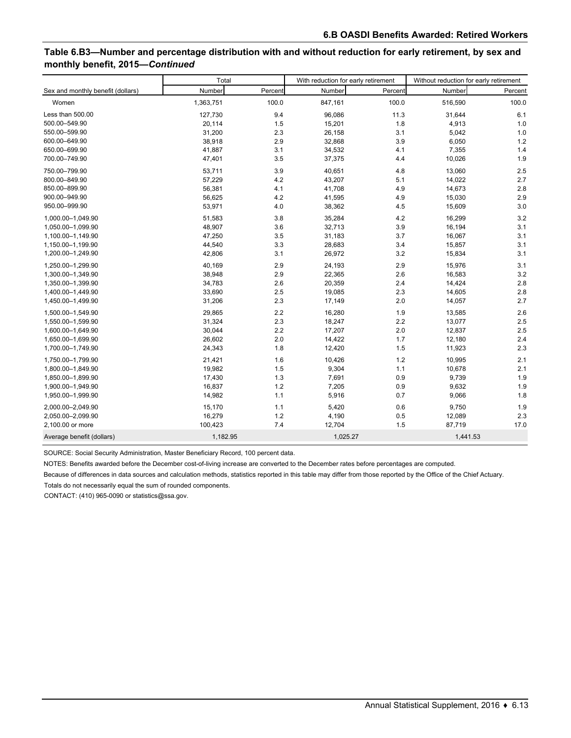# **Table 6.B3—Number and percentage distribution with and without reduction for early retirement, by sex and monthly benefit, 2015—***Continued*

|                                   | Total     |         | With reduction for early retirement |         | Without reduction for early retirement |         |  |
|-----------------------------------|-----------|---------|-------------------------------------|---------|----------------------------------------|---------|--|
| Sex and monthly benefit (dollars) | Number    | Percent | Number                              | Percent | Number                                 | Percent |  |
| Women                             | 1,363,751 | 100.0   | 847,161                             | 100.0   | 516,590                                | 100.0   |  |
| Less than 500.00                  | 127,730   | 9.4     | 96,086                              | 11.3    | 31,644                                 | 6.1     |  |
| 500.00-549.90                     | 20,114    | 1.5     | 15,201                              | 1.8     | 4,913                                  | 1.0     |  |
| 550.00-599.90                     | 31,200    | 2.3     | 26,158                              | 3.1     | 5,042                                  | 1.0     |  |
| 600.00-649.90                     | 38,918    | 2.9     | 32,868                              | 3.9     | 6,050                                  | 1.2     |  |
| 650.00-699.90                     | 41,887    | 3.1     | 34,532                              | 4.1     | 7,355                                  | 1.4     |  |
| 700.00-749.90                     | 47,401    | 3.5     | 37,375                              | 4.4     | 10,026                                 | 1.9     |  |
| 750.00-799.90                     | 53,711    | 3.9     | 40,651                              | 4.8     | 13,060                                 | 2.5     |  |
| 800.00-849.90                     | 57,229    | 4.2     | 43,207                              | 5.1     | 14,022                                 | 2.7     |  |
| 850.00-899.90                     | 56,381    | 4.1     | 41,708                              | 4.9     | 14,673                                 | 2.8     |  |
| 900.00-949.90                     | 56,625    | 4.2     | 41,595                              | 4.9     | 15,030                                 | 2.9     |  |
| 950.00-999.90                     | 53,971    | 4.0     | 38,362                              | 4.5     | 15,609                                 | 3.0     |  |
| 1,000.00-1,049.90                 | 51,583    | 3.8     | 35,284                              | 4.2     | 16,299                                 | 3.2     |  |
| 1,050.00-1,099.90                 | 48,907    | 3.6     | 32.713                              | 3.9     | 16,194                                 | 3.1     |  |
| 1,100.00-1,149.90                 | 47,250    | 3.5     | 31,183                              | 3.7     | 16,067                                 | 3.1     |  |
| 1,150.00-1,199.90                 | 44,540    | 3.3     | 28,683                              | 3.4     | 15,857                                 | 3.1     |  |
| 1,200.00-1,249.90                 | 42,806    | 3.1     | 26,972                              | 3.2     | 15,834                                 | 3.1     |  |
| 1,250.00-1,299.90                 | 40,169    | 2.9     | 24,193                              | 2.9     | 15,976                                 | 3.1     |  |
| 1,300.00-1,349.90                 | 38,948    | 2.9     | 22,365                              | 2.6     | 16,583                                 | 3.2     |  |
| 1,350.00-1,399.90                 | 34,783    | 2.6     | 20,359                              | 2.4     | 14,424                                 | 2.8     |  |
| 1,400.00-1,449.90                 | 33,690    | 2.5     | 19,085                              | 2.3     | 14,605                                 | 2.8     |  |
| 1,450.00-1,499.90                 | 31,206    | 2.3     | 17,149                              | 2.0     | 14,057                                 | 2.7     |  |
| 1,500.00-1,549.90                 | 29,865    | 2.2     | 16,280                              | 1.9     | 13,585                                 | 2.6     |  |
| 1,550.00-1,599.90                 | 31,324    | 2.3     | 18,247                              | 2.2     | 13,077                                 | 2.5     |  |
| 1,600.00-1,649.90                 | 30,044    | 2.2     | 17,207                              | 2.0     | 12,837                                 | 2.5     |  |
| 1,650.00-1,699.90                 | 26,602    | 2.0     | 14,422                              | 1.7     | 12,180                                 | 2.4     |  |
| 1,700.00-1,749.90                 | 24,343    | 1.8     | 12,420                              | 1.5     | 11,923                                 | 2.3     |  |
| 1,750.00-1,799.90                 | 21,421    | 1.6     | 10,426                              | 1.2     | 10,995                                 | 2.1     |  |
| 1,800.00-1,849.90                 | 19,982    | 1.5     | 9,304                               | 1.1     | 10,678                                 | 2.1     |  |
| 1,850.00-1,899.90                 | 17,430    | 1.3     | 7,691                               | 0.9     | 9,739                                  | 1.9     |  |
| 1,900.00-1,949.90                 | 16,837    | 1.2     | 7,205                               | 0.9     | 9,632                                  | 1.9     |  |
| 1,950.00-1,999.90                 | 14,982    | 1.1     | 5,916                               | 0.7     | 9,066                                  | 1.8     |  |
| 2,000.00-2,049.90                 | 15,170    | 1.1     | 5,420                               | 0.6     | 9,750                                  | 1.9     |  |
| 2,050.00-2,099.90                 | 16,279    | 1.2     | 4,190                               | 0.5     | 12,089                                 | 2.3     |  |
| 2,100.00 or more                  | 100,423   | 7.4     | 12,704                              | 1.5     | 87,719                                 | 17.0    |  |
| Average benefit (dollars)         | 1,182.95  |         | 1,025.27                            |         | 1,441.53                               |         |  |

SOURCE: Social Security Administration, Master Beneficiary Record, 100 percent data.

NOTES: Benefits awarded before the December cost-of-living increase are converted to the December rates before percentages are computed.

Because of differences in data sources and calculation methods, statistics reported in this table may differ from those reported by the Office of the Chief Actuary.

Totals do not necessarily equal the sum of rounded components.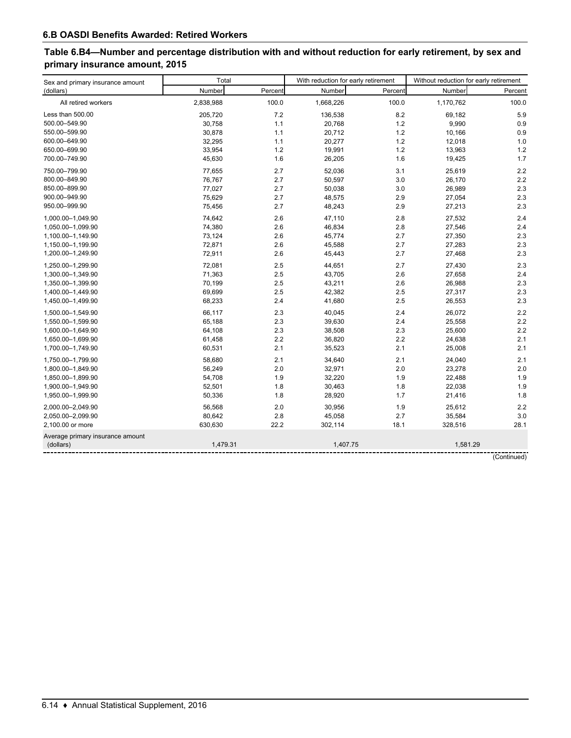# **Table 6.B4—Number and percentage distribution with and without reduction for early retirement, by sex and primary insurance amount, 2015**

| Sex and primary insurance amount | Total     |         | With reduction for early retirement |         | Without reduction for early retirement |             |  |
|----------------------------------|-----------|---------|-------------------------------------|---------|----------------------------------------|-------------|--|
| (dollars)                        | Number    | Percent | Number                              | Percent | Number                                 | Percent     |  |
| All retired workers              | 2,838,988 | 100.0   | 1,668,226                           | 100.0   | 1,170,762                              | 100.0       |  |
| Less than 500.00                 | 205,720   | 7.2     | 136,538                             | 8.2     | 69,182                                 | 5.9         |  |
| 500.00-549.90                    | 30,758    | 1.1     | 20,768                              | 1.2     | 9,990                                  | 0.9         |  |
| 550.00-599.90                    | 30,878    | 1.1     | 20,712                              | 1.2     | 10,166                                 | 0.9         |  |
| 600.00-649.90                    | 32,295    | 1.1     | 20,277                              | 1.2     | 12,018                                 | 1.0         |  |
| 650.00-699.90                    | 33,954    | 1.2     | 19,991                              | 1.2     | 13,963                                 | 1.2         |  |
| 700.00-749.90                    | 45,630    | 1.6     | 26,205                              | 1.6     | 19,425                                 | 1.7         |  |
| 750.00-799.90                    | 77,655    | 2.7     | 52,036                              | 3.1     | 25,619                                 | 2.2         |  |
| 800.00-849.90                    | 76,767    | 2.7     | 50,597                              | 3.0     | 26,170                                 | 2.2         |  |
| 850.00-899.90                    | 77,027    | 2.7     | 50,038                              | 3.0     | 26,989                                 | 2.3         |  |
| 900.00-949.90                    | 75,629    | 2.7     | 48,575                              | 2.9     | 27,054                                 | 2.3         |  |
| 950.00-999.90                    | 75,456    | 2.7     | 48,243                              | 2.9     | 27,213                                 | 2.3         |  |
| 1,000.00-1,049.90                | 74,642    | 2.6     | 47,110                              | 2.8     | 27,532                                 | 2.4         |  |
| 1,050.00-1,099.90                | 74,380    | 2.6     | 46,834                              | 2.8     | 27,546                                 | 2.4         |  |
| 1,100.00-1,149.90                | 73,124    | 2.6     | 45,774                              | 2.7     | 27,350                                 | 2.3         |  |
| 1,150.00-1,199.90                | 72,871    | 2.6     | 45,588                              | 2.7     | 27,283                                 | 2.3         |  |
| 1,200.00-1,249.90                | 72,911    | 2.6     | 45,443                              | 2.7     | 27,468                                 | 2.3         |  |
| 1,250.00-1,299.90                | 72,081    | 2.5     | 44,651                              | 2.7     | 27,430                                 | 2.3         |  |
| 1,300.00-1,349.90                | 71,363    | 2.5     | 43,705                              | 2.6     | 27,658                                 | 2.4         |  |
| 1,350.00-1,399.90                | 70,199    | 2.5     | 43,211                              | 2.6     | 26,988                                 | 2.3         |  |
| 1,400.00-1,449.90                | 69,699    | 2.5     | 42,382                              | 2.5     | 27,317                                 | 2.3         |  |
| 1,450.00-1,499.90                | 68,233    | 2.4     | 41,680                              | 2.5     | 26,553                                 | 2.3         |  |
| 1,500.00-1,549.90                | 66,117    | 2.3     | 40,045                              | 2.4     | 26,072                                 | 2.2         |  |
| 1,550.00-1,599.90                | 65,188    | 2.3     | 39,630                              | 2.4     | 25,558                                 | 2.2         |  |
| 1,600.00-1,649.90                | 64,108    | 2.3     | 38,508                              | 2.3     | 25,600                                 | 2.2         |  |
| 1,650.00-1,699.90                | 61,458    | 2.2     | 36,820                              | 2.2     | 24,638                                 | 2.1         |  |
| 1,700.00-1,749.90                | 60,531    | 2.1     | 35,523                              | 2.1     | 25,008                                 | 2.1         |  |
| 1,750.00-1,799.90                | 58,680    | 2.1     | 34,640                              | 2.1     | 24,040                                 | 2.1         |  |
| 1,800.00-1,849.90                | 56,249    | 2.0     | 32,971                              | 2.0     | 23,278                                 | 2.0         |  |
| 1,850.00-1,899.90                | 54,708    | 1.9     | 32,220                              | 1.9     | 22,488                                 | 1.9         |  |
| 1,900.00-1,949.90                | 52,501    | 1.8     | 30,463                              | 1.8     | 22,038                                 | 1.9         |  |
| 1,950.00-1,999.90                | 50,336    | 1.8     | 28,920                              | 1.7     | 21,416                                 | 1.8         |  |
| 2,000.00-2,049.90                | 56,568    | 2.0     | 30,956                              | 1.9     | 25,612                                 | 2.2         |  |
| 2,050.00-2,099.90                | 80,642    | 2.8     | 45,058                              | 2.7     | 35,584                                 | 3.0         |  |
| 2,100.00 or more                 | 630,630   | 22.2    | 302,114                             | 18.1    | 328,516                                | 28.1        |  |
| Average primary insurance amount |           |         |                                     |         |                                        |             |  |
| (dollars)                        | 1,479.31  |         | 1,407.75                            |         | 1,581.29                               |             |  |
|                                  |           |         |                                     |         |                                        | (Continued) |  |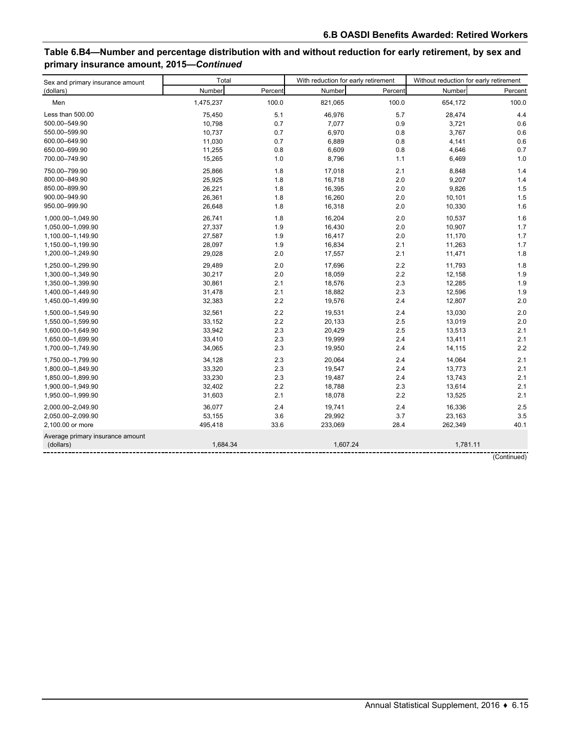# **Table 6.B4—Number and percentage distribution with and without reduction for early retirement, by sex and primary insurance amount, 2015—***Continued*

| Sex and primary insurance amount | Total     |         | With reduction for early retirement |         | Without reduction for early retirement |             |  |
|----------------------------------|-----------|---------|-------------------------------------|---------|----------------------------------------|-------------|--|
| (dollars)                        | Number    | Percent | Number                              | Percent | Number                                 | Percent     |  |
| Men                              | 1,475,237 | 100.0   | 821,065                             | 100.0   | 654,172                                | 100.0       |  |
| Less than 500.00                 | 75,450    | 5.1     | 46,976                              | 5.7     | 28,474                                 | 4.4         |  |
| 500.00-549.90                    | 10,798    | 0.7     | 7,077                               | 0.9     | 3,721                                  | 0.6         |  |
| 550.00-599.90                    | 10,737    | 0.7     | 6,970                               | 0.8     | 3,767                                  | 0.6         |  |
| 600.00-649.90                    | 11,030    | 0.7     | 6,889                               | 0.8     | 4,141                                  | 0.6         |  |
| 650.00-699.90                    | 11,255    | 0.8     | 6,609                               | 0.8     | 4,646                                  | 0.7         |  |
| 700.00-749.90                    | 15,265    | 1.0     | 8,796                               | 1.1     | 6,469                                  | 1.0         |  |
| 750.00-799.90                    | 25,866    | 1.8     | 17,018                              | 2.1     | 8,848                                  | 1.4         |  |
| 800.00-849.90                    | 25,925    | 1.8     | 16,718                              | 2.0     | 9,207                                  | 1.4         |  |
| 850.00-899.90                    | 26,221    | 1.8     | 16,395                              | 2.0     | 9,826                                  | 1.5         |  |
| 900.00-949.90                    | 26,361    | 1.8     | 16,260                              | 2.0     | 10,101                                 | 1.5         |  |
| 950.00-999.90                    | 26,648    | 1.8     | 16,318                              | 2.0     | 10,330                                 | 1.6         |  |
| 1,000.00-1,049.90                | 26,741    | 1.8     | 16,204                              | 2.0     | 10,537                                 | 1.6         |  |
| 1,050.00-1,099.90                | 27,337    | 1.9     | 16,430                              | 2.0     | 10,907                                 | 1.7         |  |
| 1,100.00-1,149.90                | 27,587    | 1.9     | 16,417                              | 2.0     | 11,170                                 | 1.7         |  |
| 1,150.00-1,199.90                | 28,097    | 1.9     | 16,834                              | 2.1     | 11,263                                 | 1.7         |  |
| 1,200.00-1,249.90                | 29,028    | 2.0     | 17,557                              | 2.1     | 11,471                                 | 1.8         |  |
| 1,250.00-1,299.90                | 29,489    | 2.0     | 17,696                              | 2.2     | 11,793                                 | 1.8         |  |
| 1,300.00-1,349.90                | 30,217    | 2.0     | 18,059                              | 2.2     | 12,158                                 | 1.9         |  |
| 1,350.00-1,399.90                | 30,861    | 2.1     | 18,576                              | 2.3     | 12,285                                 | 1.9         |  |
| 1,400.00-1,449.90                | 31,478    | 2.1     | 18,882                              | 2.3     | 12,596                                 | 1.9         |  |
| 1,450.00-1,499.90                | 32,383    | 2.2     | 19,576                              | 2.4     | 12,807                                 | 2.0         |  |
| 1,500.00-1,549.90                | 32,561    | 2.2     | 19,531                              | 2.4     | 13,030                                 | 2.0         |  |
| 1,550.00-1,599.90                | 33,152    | 2.2     | 20,133                              | 2.5     | 13,019                                 | 2.0         |  |
| 1,600.00-1,649.90                | 33,942    | 2.3     | 20,429                              | 2.5     | 13,513                                 | 2.1         |  |
| 1,650.00-1,699.90                | 33,410    | 2.3     | 19,999                              | 2.4     | 13,411                                 | 2.1         |  |
| 1,700.00-1,749.90                | 34,065    | 2.3     | 19,950                              | 2.4     | 14,115                                 | 2.2         |  |
| 1,750.00-1,799.90                | 34,128    | 2.3     | 20,064                              | 2.4     | 14,064                                 | 2.1         |  |
| 1,800.00-1,849.90                | 33,320    | 2.3     | 19,547                              | 2.4     | 13,773                                 | 2.1         |  |
| 1,850.00-1,899.90                | 33,230    | 2.3     | 19,487                              | 2.4     | 13,743                                 | 2.1         |  |
| 1,900.00-1,949.90                | 32,402    | 2.2     | 18,788                              | 2.3     | 13,614                                 | 2.1         |  |
| 1,950.00-1,999.90                | 31,603    | 2.1     | 18,078                              | 2.2     | 13,525                                 | 2.1         |  |
| 2,000.00-2,049.90                | 36,077    | 2.4     | 19,741                              | 2.4     | 16,336                                 | 2.5         |  |
| 2,050.00-2,099.90                | 53,155    | 3.6     | 29,992                              | 3.7     | 23,163                                 | 3.5         |  |
| 2,100.00 or more                 | 495,418   | 33.6    | 233,069                             | 28.4    | 262,349                                | 40.1        |  |
| Average primary insurance amount |           |         |                                     |         |                                        |             |  |
| (dollars)                        | 1,684.34  |         | 1,607.24                            |         | 1,781.11                               |             |  |
|                                  |           |         |                                     |         |                                        | (Continued) |  |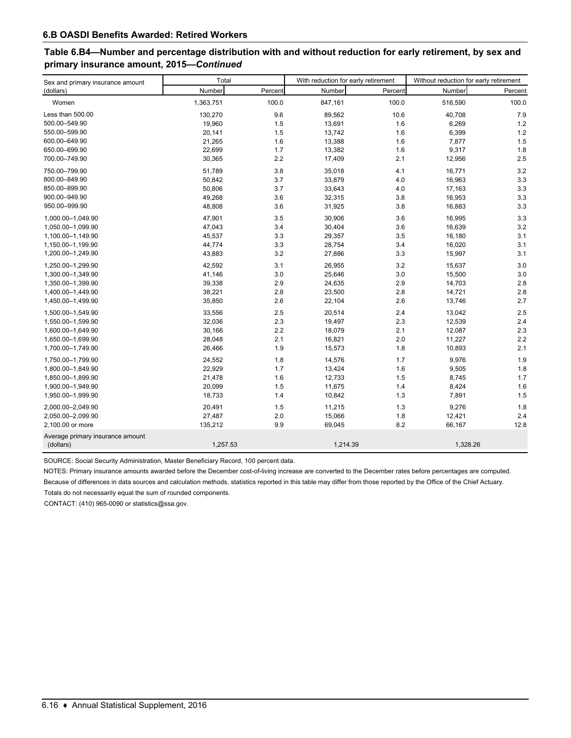# **Table 6.B4—Number and percentage distribution with and without reduction for early retirement, by sex and primary insurance amount, 2015—***Continued*

| Sex and primary insurance amount              | Total     |         | With reduction for early retirement |         | Without reduction for early retirement |         |  |
|-----------------------------------------------|-----------|---------|-------------------------------------|---------|----------------------------------------|---------|--|
| (dollars)                                     | Number    | Percent | Number                              | Percent | Number                                 | Percent |  |
| Women                                         | 1,363,751 | 100.0   | 847,161                             | 100.0   | 516,590                                | 100.0   |  |
| Less than 500.00                              | 130,270   | 9.6     | 89,562                              | 10.6    | 40,708                                 | 7.9     |  |
| 500.00-549.90                                 | 19,960    | 1.5     | 13,691                              | 1.6     | 6,269                                  | 1.2     |  |
| 550.00-599.90                                 | 20,141    | 1.5     | 13,742                              | 1.6     | 6,399                                  | 1.2     |  |
| 600.00-649.90                                 | 21,265    | 1.6     | 13,388                              | 1.6     | 7,877                                  | 1.5     |  |
| 650.00-699.90                                 | 22,699    | 1.7     | 13,382                              | 1.6     | 9,317                                  | 1.8     |  |
| 700.00-749.90                                 | 30,365    | 2.2     | 17,409                              | 2.1     | 12,956                                 | 2.5     |  |
| 750.00-799.90                                 | 51,789    | 3.8     | 35,018                              | 4.1     | 16,771                                 | 3.2     |  |
| 800.00-849.90                                 | 50,842    | 3.7     | 33,879                              | 4.0     | 16,963                                 | 3.3     |  |
| 850.00-899.90                                 | 50,806    | 3.7     | 33,643                              | 4.0     | 17,163                                 | 3.3     |  |
| 900.00-949.90                                 | 49,268    | 3.6     | 32,315                              | 3.8     | 16,953                                 | 3.3     |  |
| 950.00-999.90                                 | 48,808    | 3.6     | 31,925                              | 3.8     | 16,883                                 | 3.3     |  |
| 1,000.00-1,049.90                             | 47,901    | 3.5     | 30,906                              | 3.6     | 16,995                                 | 3.3     |  |
| 1,050.00-1,099.90                             | 47,043    | 3.4     | 30,404                              | 3.6     | 16,639                                 | 3.2     |  |
| 1,100.00-1,149.90                             | 45,537    | 3.3     | 29,357                              | 3.5     | 16,180                                 | 3.1     |  |
| 1,150.00-1,199.90                             | 44,774    | 3.3     | 28,754                              | 3.4     | 16,020                                 | 3.1     |  |
| 1,200.00-1,249.90                             | 43,883    | 3.2     | 27,886                              | 3.3     | 15,997                                 | 3.1     |  |
| 1,250.00-1,299.90                             | 42,592    | 3.1     | 26,955                              | 3.2     | 15,637                                 | 3.0     |  |
| 1,300.00-1,349.90                             | 41,146    | 3.0     | 25,646                              | 3.0     | 15,500                                 | 3.0     |  |
| 1,350.00-1,399.90                             | 39,338    | 2.9     | 24,635                              | 2.9     | 14,703                                 | 2.8     |  |
| 1,400.00-1,449.90                             | 38,221    | 2.8     | 23,500                              | 2.8     | 14,721                                 | 2.8     |  |
| 1,450.00-1,499.90                             | 35,850    | 2.6     | 22,104                              | 2.6     | 13,746                                 | 2.7     |  |
| 1,500.00-1,549.90                             | 33,556    | 2.5     | 20,514                              | 2.4     | 13,042                                 | 2.5     |  |
| 1,550.00-1,599.90                             | 32,036    | 2.3     | 19,497                              | 2.3     | 12,539                                 | 2.4     |  |
| 1,600.00-1,649.90                             | 30,166    | 2.2     | 18,079                              | 2.1     | 12,087                                 | 2.3     |  |
| 1,650.00-1,699.90                             | 28,048    | 2.1     | 16,821                              | 2.0     | 11,227                                 | 2.2     |  |
| 1,700.00-1,749.90                             | 26,466    | 1.9     | 15,573                              | 1.8     | 10,893                                 | 2.1     |  |
| 1,750.00-1,799.90                             | 24,552    | 1.8     | 14,576                              | 1.7     | 9,976                                  | 1.9     |  |
| 1,800.00-1,849.90                             | 22,929    | 1.7     | 13,424                              | 1.6     | 9,505                                  | 1.8     |  |
| 1,850.00-1,899.90                             | 21,478    | 1.6     | 12,733                              | 1.5     | 8,745                                  | 1.7     |  |
| 1,900.00-1,949.90                             | 20,099    | 1.5     | 11,675                              | 1.4     | 8,424                                  | 1.6     |  |
| 1,950.00-1,999.90                             | 18,733    | 1.4     | 10,842                              | 1.3     | 7,891                                  | 1.5     |  |
| 2,000.00-2,049.90                             | 20,491    | 1.5     | 11,215                              | 1.3     | 9,276                                  | 1.8     |  |
| 2,050.00-2,099.90                             | 27,487    | 2.0     | 15,066                              | 1.8     | 12,421                                 | 2.4     |  |
| 2,100.00 or more                              | 135,212   | 9.9     | 69,045                              | 8.2     | 66,167                                 | 12.8    |  |
| Average primary insurance amount<br>(dollars) | 1,257.53  |         | 1,214.39                            |         | 1,328.26                               |         |  |
|                                               |           |         |                                     |         |                                        |         |  |

SOURCE: Social Security Administration, Master Beneficiary Record, 100 percent data.

NOTES: Primary insurance amounts awarded before the December cost-of-living increase are converted to the December rates before percentages are computed. Because of differences in data sources and calculation methods, statistics reported in this table may differ from those reported by the Office of the Chief Actuary.

Totals do not necessarily equal the sum of rounded components.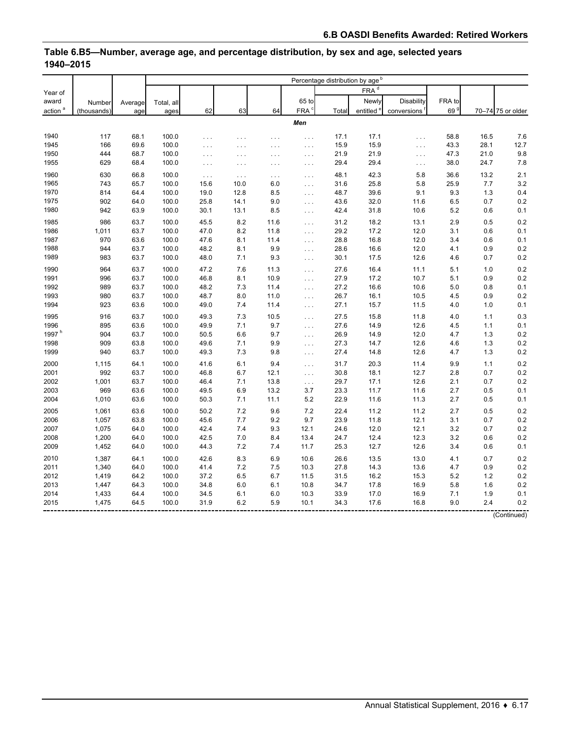|                     |             |         |            |          |          |          |                      | Percentage distribution by age <sup>b</sup> |                       |                      |                 |      |                   |
|---------------------|-------------|---------|------------|----------|----------|----------|----------------------|---------------------------------------------|-----------------------|----------------------|-----------------|------|-------------------|
| Year of             |             |         |            |          |          |          |                      |                                             | FRA <sup>d</sup>      |                      |                 |      |                   |
| award               | Number      | Average | Total, all |          |          |          | 65 to                |                                             | Newly                 | Disability           | FRA to          |      |                   |
| action <sup>a</sup> | (thousands) | age     | ages       | 62       | 63       | 64       | FRA <sup>c</sup>     | Total                                       | entitled <sup>e</sup> | conversions          | 69 <sup>9</sup> |      | 70-74 75 or older |
|                     |             |         |            |          |          |          | Men                  |                                             |                       |                      |                 |      |                   |
|                     |             |         |            |          |          |          |                      |                                             |                       |                      |                 |      |                   |
| 1940                | 117         | 68.1    | 100.0      | $\ldots$ | $\cdots$ | .        | $\ldots$             | 17.1                                        | 17.1                  | $\ldots$             | 58.8            | 16.5 | 7.6               |
| 1945                | 166         | 69.6    | 100.0      | .        | $\cdots$ | $\cdots$ | $\cdots$             | 15.9                                        | 15.9                  | $\ldots$             | 43.3            | 28.1 | 12.7              |
| 1950                | 444         | 68.7    | 100.0      | $\ldots$ | $\cdots$ | $\cdots$ | $\sim$ $\sim$ $\sim$ | 21.9                                        | 21.9                  | $\ldots$             | 47.3            | 21.0 | 9.8               |
| 1955                | 629         | 68.4    | 100.0      | $\ldots$ | $\cdots$ | $\cdots$ | $\ldots$             | 29.4                                        | 29.4                  | $\sim$ $\sim$ $\sim$ | 38.0            | 24.7 | 7.8               |
| 1960                | 630         | 66.8    | 100.0      | $\ldots$ | $\ldots$ | $\ldots$ | $\ldots$             | 48.1                                        | 42.3                  | 5.8                  | 36.6            | 13.2 | 2.1               |
| 1965                | 743         | 65.7    | 100.0      | 15.6     | 10.0     | 6.0      | $\ldots$             | 31.6                                        | 25.8                  | 5.8                  | 25.9            | 7.7  | 3.2               |
| 1970                | 814         | 64.4    | 100.0      | 19.0     | 12.8     | 8.5      | $\sim$               | 48.7                                        | 39.6                  | 9.1                  | 9.3             | 1.3  | 0.4               |
| 1975                | 902         | 64.0    | 100.0      | 25.8     | 14.1     | 9.0      | $\ldots$             | 43.6                                        | 32.0                  | 11.6                 | 6.5             | 0.7  | 0.2               |
| 1980                | 942         | 63.9    | 100.0      | 30.1     | 13.1     | 8.5      | $\sim$ $\sim$ $\sim$ | 42.4                                        | 31.8                  | 10.6                 | 5.2             | 0.6  | 0.1               |
| 1985                | 986         | 63.7    | 100.0      | 45.5     | 8.2      | 11.6     | $\ldots$             | 31.2                                        | 18.2                  | 13.1                 | 2.9             | 0.5  | 0.2               |
| 1986                | 1,011       | 63.7    | 100.0      | 47.0     | 8.2      | 11.8     | $\cdots$             | 29.2                                        | 17.2                  | 12.0                 | 3.1             | 0.6  | 0.1               |
| 1987                | 970         | 63.6    | 100.0      | 47.6     | 8.1      | 11.4     | $\ldots$             | 28.8                                        | 16.8                  | 12.0                 | 3.4             | 0.6  | 0.1               |
| 1988                | 944         | 63.7    | 100.0      | 48.2     | 8.1      | 9.9      | $\ldots$             | 28.6                                        | 16.6                  | 12.0                 | 4.1             | 0.9  | 0.2               |
| 1989                | 983         | 63.7    | 100.0      | 48.0     | 7.1      | 9.3      | $\sim$ $\sim$ $\sim$ | 30.1                                        | 17.5                  | 12.6                 | 4.6             | 0.7  | 0.2               |
| 1990                | 964         | 63.7    | 100.0      | 47.2     | 7.6      | 11.3     | $\ldots$             | 27.6                                        | 16.4                  | 11.1                 | 5.1             | 1.0  | 0.2               |
| 1991                | 996         | 63.7    | 100.0      | 46.8     | 8.1      | 10.9     | $\cdots$             | 27.9                                        | 17.2                  | 10.7                 | 5.1             | 0.9  | 0.2               |
| 1992                | 989         | 63.7    | 100.0      | 48.2     | 7.3      | 11.4     | $\ldots$             | 27.2                                        | 16.6                  | 10.6                 | 5.0             | 0.8  | 0.1               |
| 1993                | 980         | 63.7    | 100.0      | 48.7     | 8.0      | 11.0     | $\ldots$             | 26.7                                        | 16.1                  | 10.5                 | 4.5             | 0.9  | 0.2               |
| 1994                | 923         | 63.6    | 100.0      | 49.0     | 7.4      | 11.4     | $\ldots$             | 27.1                                        | 15.7                  | 11.5                 | 4.0             | 1.0  | 0.1               |
| 1995                | 916         | 63.7    | 100.0      | 49.3     | 7.3      | 10.5     | $\ldots$             | 27.5                                        | 15.8                  | 11.8                 | 4.0             | 1.1  | 0.3               |
| 1996                | 895         | 63.6    | 100.0      | 49.9     | 7.1      | 9.7      | $\cdots$             | 27.6                                        | 14.9                  | 12.6                 | 4.5             | 1.1  | 0.1               |
| 1997 $h$            | 904         | 63.7    | 100.0      | 50.5     | 6.6      | 9.7      | $\cdots$             | 26.9                                        | 14.9                  | 12.0                 | 4.7             | 1.3  | 0.2               |
| 1998                | 909         | 63.8    | 100.0      | 49.6     | 7.1      | 9.9      | $\cdots$             | 27.3                                        | 14.7                  | 12.6                 | 4.6             | 1.3  | 0.2               |
| 1999                | 940         | 63.7    | 100.0      | 49.3     | 7.3      | 9.8      | $\sim 10$ .          | 27.4                                        | 14.8                  | 12.6                 | 4.7             | 1.3  | 0.2               |
| 2000                | 1,115       | 64.1    | 100.0      | 41.6     | 6.1      | 9.4      | $\cdots$             | 31.7                                        | 20.3                  | 11.4                 | 9.9             | 1.1  | 0.2               |
| 2001                | 992         | 63.7    | 100.0      | 46.8     | 6.7      | 12.1     | $\cdots$             | 30.8                                        | 18.1                  | 12.7                 | 2.8             | 0.7  | 0.2               |
| 2002                | 1,001       | 63.7    | 100.0      | 46.4     | 7.1      | 13.8     | $\cdots$             | 29.7                                        | 17.1                  | 12.6                 | 2.1             | 0.7  | 0.2               |
| 2003                | 969         | 63.6    | 100.0      | 49.5     | 6.9      | 13.2     | 3.7                  | 23.3                                        | 11.7                  | 11.6                 | 2.7             | 0.5  | 0.1               |
| 2004                | 1,010       | 63.6    | 100.0      | 50.3     | 7.1      | 11.1     | 5.2                  | 22.9                                        | 11.6                  | 11.3                 | 2.7             | 0.5  | 0.1               |
| 2005                | 1,061       | 63.6    | 100.0      | 50.2     | 7.2      | 9.6      | 7.2                  | 22.4                                        | 11.2                  | 11.2                 | 2.7             | 0.5  | 0.2               |
| 2006                | 1,057       | 63.8    | 100.0      | 45.6     | 7.7      | 9.2      | 9.7                  | 23.9                                        | 11.8                  | 12.1                 | 3.1             | 0.7  | 0.2               |
| 2007                | 1,075       | 64.0    | 100.0      | 42.4     | 7.4      | 9.3      | 12.1                 | 24.6                                        | 12.0                  | 12.1                 | 3.2             | 0.7  | 0.2               |
| 2008                | 1,200       | 64.0    | 100.0      | 42.5     | 7.0      | 8.4      | 13.4                 | 24.7                                        | 12.4                  | 12.3                 | 3.2             | 0.6  | 0.2               |
| 2009                | 1,452       | 64.0    | 100.0      | 44.3     | 7.2      | 7.4      | 11.7                 | 25.3                                        | 12.7                  | 12.6                 | 3.4             | 0.6  | 0.1               |
| 2010                | 1,387       | 64.1    | 100.0      | 42.6     | 8.3      | 6.9      | 10.6                 | 26.6                                        | 13.5                  | 13.0                 | 4.1             | 0.7  | 0.2               |
| 2011                | 1,340       | 64.0    | 100.0      | 41.4     | 7.2      | 7.5      | 10.3                 | 27.8                                        | 14.3                  | 13.6                 | 4.7             | 0.9  | 0.2               |
| 2012                | 1,419       | 64.2    | 100.0      | 37.2     | 6.5      | 6.7      | 11.5                 | 31.5                                        | 16.2                  | 15.3                 | 5.2             | 1.2  | 0.2               |
| 2013                | 1,447       | 64.3    | 100.0      | 34.8     | 6.0      | 6.1      | 10.8                 | 34.7                                        | 17.8                  | 16.9                 | 5.8             | 1.6  | 0.2               |
| 2014                | 1,433       | 64.4    | 100.0      | 34.5     | 6.1      | 6.0      | 10.3                 | 33.9                                        | 17.0                  | 16.9                 | 7.1             | 1.9  | 0.1               |
| 2015                | 1,475       | 64.5    | 100.0      | 31.9     | 6.2      | 5.9      | 10.1                 | 34.3                                        | 17.6                  | 16.8                 | 9.0             | 2.4  | 0.2               |
|                     |             |         |            |          |          |          |                      |                                             |                       |                      |                 |      | (Continued)       |

#### **Table 6.B5—Number, average age, and percentage distribution, by sex and age, selected years 1940–2015**

Annual Statistical Supplement, 2016 ♦ 6.17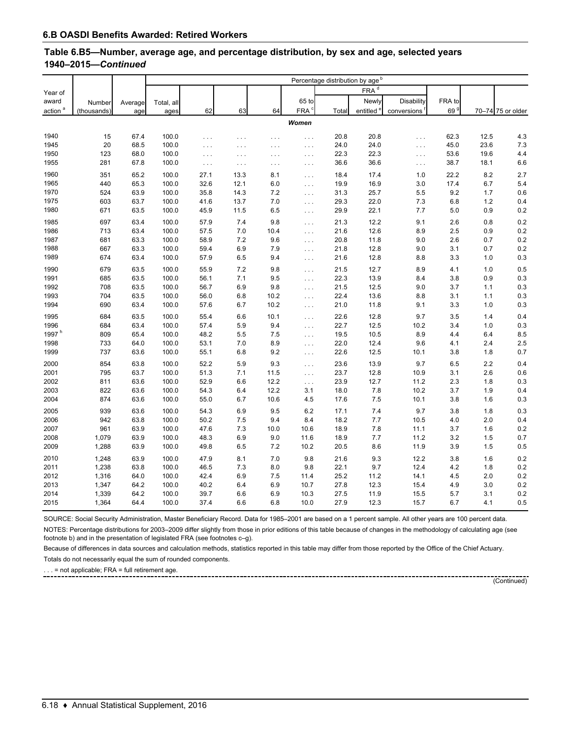#### **Table 6.B5—Number, average age, and percentage distribution, by sex and age, selected years 1940–2015—***Continued*

|                     |             |         |            |          |          |          |                      | Percentage distribution by age <sup>b</sup> |                       |             |                 |      |                   |
|---------------------|-------------|---------|------------|----------|----------|----------|----------------------|---------------------------------------------|-----------------------|-------------|-----------------|------|-------------------|
| Year of             |             |         |            |          |          |          |                      |                                             | $FRA^d$               |             |                 |      |                   |
| award               | Number      | Average | Total, all |          |          |          | 65 to                |                                             | Newly                 | Disability  | FRA to          |      |                   |
| action <sup>a</sup> | (thousands) | age     | ages       | 62       | 63       | 64       | FRA <sup>c</sup>     | Total                                       | entitled <sup>e</sup> | conversions | 69 <sup>9</sup> |      | 70-74 75 or older |
|                     |             |         |            |          |          |          |                      |                                             |                       |             |                 |      |                   |
|                     |             |         |            |          |          |          | Women                |                                             |                       |             |                 |      |                   |
| 1940                | 15          | 67.4    | 100.0      | .        | .        | $\cdots$ | $\cdots$             | 20.8                                        | 20.8                  | $\cdots$    | 62.3            | 12.5 | 4.3               |
| 1945                | 20          | 68.5    | 100.0      | .        | $\cdots$ | $\cdots$ | $\cdots$             | 24.0                                        | 24.0                  | $\cdots$    | 45.0            | 23.6 | 7.3               |
| 1950                | 123         | 68.0    | 100.0      | .        | $\cdots$ | $\cdots$ | $\sim$ $\sim$ $\sim$ | 22.3                                        | 22.3                  | $\cdots$    | 53.6            | 19.6 | 4.4               |
| 1955                | 281         | 67.8    | 100.0      | $\ldots$ | $\cdots$ | $\ldots$ | $\sim$ $\sim$ $\sim$ | 36.6                                        | 36.6                  | $\cdots$    | 38.7            | 18.1 | 6.6               |
| 1960                | 351         | 65.2    | 100.0      | 27.1     | 13.3     | 8.1      | $\sim$ $\sim$ $\sim$ | 18.4                                        | 17.4                  | 1.0         | 22.2            | 8.2  | 2.7               |
| 1965                | 440         | 65.3    | 100.0      | 32.6     | 12.1     | 6.0      | $\cdots$             | 19.9                                        | 16.9                  | 3.0         | 17.4            | 6.7  | 5.4               |
| 1970                | 524         | 63.9    | 100.0      | 35.8     | 14.3     | 7.2      | $\ldots$             | 31.3                                        | 25.7                  | 5.5         | 9.2             | 1.7  | 0.6               |
| 1975                | 603         | 63.7    | 100.0      | 41.6     | 13.7     | $7.0$    | $\sim$ $\sim$ $\sim$ | 29.3                                        | 22.0                  | 7.3         | 6.8             | 1.2  | 0.4               |
| 1980                | 671         | 63.5    | 100.0      | 45.9     | 11.5     | 6.5      | $\sim$ $\sim$ $\sim$ | 29.9                                        | 22.1                  | 7.7         | 5.0             | 0.9  | 0.2               |
| 1985                | 697         | 63.4    | 100.0      | 57.9     | 7.4      | 9.8      | $\sim$ $\sim$ $\sim$ | 21.3                                        | 12.2                  | 9.1         | 2.6             | 0.8  | 0.2               |
| 1986                | 713         | 63.4    | 100.0      | 57.5     | 7.0      | 10.4     | $\cdots$             | 21.6                                        | 12.6                  | 8.9         | 2.5             | 0.9  | 0.2               |
| 1987                | 681         | 63.3    | 100.0      | 58.9     | 7.2      | 9.6      | $\ldots$             | 20.8                                        | 11.8                  | 9.0         | 2.6             | 0.7  | 0.2               |
| 1988                | 667         | 63.3    | 100.0      | 59.4     | 6.9      | 7.9      | $\sim$ $\sim$ $\sim$ | 21.8                                        | 12.8                  | 9.0         | 3.1             | 0.7  | 0.2               |
| 1989                | 674         | 63.4    | 100.0      | 57.9     | 6.5      | 9.4      | $\sim$ $\sim$ $\sim$ | 21.6                                        | 12.8                  | 8.8         | 3.3             | 1.0  | 0.3               |
| 1990                | 679         | 63.5    | 100.0      | 55.9     | 7.2      | 9.8      | $\ldots$             | 21.5                                        | 12.7                  | 8.9         | 4.1             | 1.0  | 0.5               |
| 1991                | 685         | 63.5    | 100.0      | 56.1     | 7.1      | 9.5      | $\sim$ $\sim$ $\sim$ | 22.3                                        | 13.9                  | 8.4         | 3.8             | 0.9  | 0.3               |
| 1992                | 708         | 63.5    | 100.0      | 56.7     | 6.9      | 9.8      | $\ldots$             | 21.5                                        | 12.5                  | 9.0         | 3.7             | 1.1  | 0.3               |
| 1993                | 704         | 63.5    | 100.0      | 56.0     | 6.8      | 10.2     | $\sim 100$           | 22.4                                        | 13.6                  | 8.8         | 3.1             | 1.1  | 0.3               |
| 1994                | 690         | 63.4    | 100.0      | 57.6     | 6.7      | 10.2     | $\sim 100$           | 21.0                                        | 11.8                  | 9.1         | 3.3             | 1.0  | 0.3               |
| 1995                | 684         | 63.5    | 100.0      | 55.4     | 6.6      | 10.1     | $\sim 100$           | 22.6                                        | 12.8                  | 9.7         | 3.5             | 1.4  | 0.4               |
| 1996                | 684         | 63.4    | 100.0      | 57.4     | 5.9      | 9.4      | $\sim$ $\sim$ $\sim$ | 22.7                                        | 12.5                  | 10.2        | 3.4             | 1.0  | 0.3               |
| 1997 <sup>h</sup>   | 809         | 65.4    | 100.0      | 48.2     | 5.5      | 7.5      | $\ldots$             | 19.5                                        | 10.5                  | 8.9         | 4.4             | 6.4  | 8.5               |
| 1998                | 733         | 64.0    | 100.0      | 53.1     | 7.0      | 8.9      | $\ldots$             | 22.0                                        | 12.4                  | 9.6         | 4.1             | 2.4  | 2.5               |
| 1999                | 737         | 63.6    | 100.0      | 55.1     | 6.8      | 9.2      | $\ldots$             | 22.6                                        | 12.5                  | 10.1        | 3.8             | 1.8  | 0.7               |
| 2000                | 854         | 63.8    | 100.0      | 52.2     | 5.9      | 9.3      | $\ldots$             | 23.6                                        | 13.9                  | 9.7         | 6.5             | 2.2  | 0.4               |
| 2001                | 795         | 63.7    | 100.0      | 51.3     | 7.1      | 11.5     | $\sim 100$           | 23.7                                        | 12.8                  | 10.9        | 3.1             | 2.6  | 0.6               |
| 2002                | 811         | 63.6    | 100.0      | 52.9     | 6.6      | 12.2     | $\sim 100$           | 23.9                                        | 12.7                  | 11.2        | 2.3             | 1.8  | 0.3               |
| 2003                | 822         | 63.6    | 100.0      | 54.3     | 6.4      | 12.2     | 3.1                  | 18.0                                        | 7.8                   | 10.2        | 3.7             | 1.9  | 0.4               |
| 2004                | 874         | 63.6    | 100.0      | 55.0     | 6.7      | 10.6     | 4.5                  | 17.6                                        | 7.5                   | 10.1        | 3.8             | 1.6  | 0.3               |
| 2005                | 939         | 63.6    | 100.0      | 54.3     | 6.9      | 9.5      | 6.2                  | 17.1                                        | 7.4                   | 9.7         | 3.8             | 1.8  | 0.3               |
| 2006                | 942         | 63.8    | 100.0      | 50.2     | 7.5      | 9.4      | 8.4                  | 18.2                                        | 7.7                   | 10.5        | 4.0             | 2.0  | 0.4               |
| 2007                | 961         | 63.9    | 100.0      | 47.6     | 7.3      | 10.0     | 10.6                 | 18.9                                        | 7.8                   | 11.1        | 3.7             | 1.6  | 0.2               |
| 2008                | 1,079       | 63.9    | 100.0      | 48.3     | 6.9      | 9.0      | 11.6                 | 18.9                                        | $7.7\,$               | 11.2        | 3.2             | 1.5  | 0.7               |
| 2009                | 1,288       | 63.9    | 100.0      | 49.8     | 6.5      | 7.2      | 10.2                 | 20.5                                        | 8.6                   | 11.9        | 3.9             | 1.5  | 0.5               |
| 2010                | 1,248       | 63.9    | 100.0      | 47.9     | 8.1      | 7.0      | 9.8                  | 21.6                                        | 9.3                   | 12.2        | 3.8             | 1.6  | 0.2               |
| 2011                | 1,238       | 63.8    | 100.0      | 46.5     | 7.3      | 8.0      | 9.8                  | 22.1                                        | 9.7                   | 12.4        | 4.2             | 1.8  | 0.2               |
| 2012                | 1,316       | 64.0    | 100.0      | 42.4     | 6.9      | 7.5      | 11.4                 | 25.2                                        | 11.2                  | 14.1        | 4.5             | 2.0  | 0.2               |
| 2013                | 1,347       | 64.2    | 100.0      | 40.2     | 6.4      | 6.9      | 10.7                 | 27.8                                        | 12.3                  | 15.4        | 4.9             | 3.0  | 0.2               |
| 2014                | 1,339       | 64.2    | 100.0      | 39.7     | 6.6      | 6.9      | 10.3                 | 27.5                                        | 11.9                  | 15.5        | 5.7             | 3.1  | 0.2               |
| 2015                | 1,364       | 64.4    | 100.0      | 37.4     | 6.6      | 6.8      | 10.0                 | 27.9                                        | 12.3                  | 15.7        | 6.7             | 4.1  | 0.5               |

SOURCE: Social Security Administration, Master Beneficiary Record. Data for 1985–2001 are based on a 1 percent sample. All other years are 100 percent data.

NOTES: Percentage distributions for 2003-2009 differ slightly from those in prior editions of this table because of changes in the methodology of calculating age (see footnote b) and in the presentation of legislated FRA (see footnotes c–g).

--------------------------------

Because of differences in data sources and calculation methods, statistics reported in this table may differ from those reported by the Office of the Chief Actuary.

Totals do not necessarily equal the sum of rounded components.

. . . = not applicable; FRA = full retirement age.

(Continued)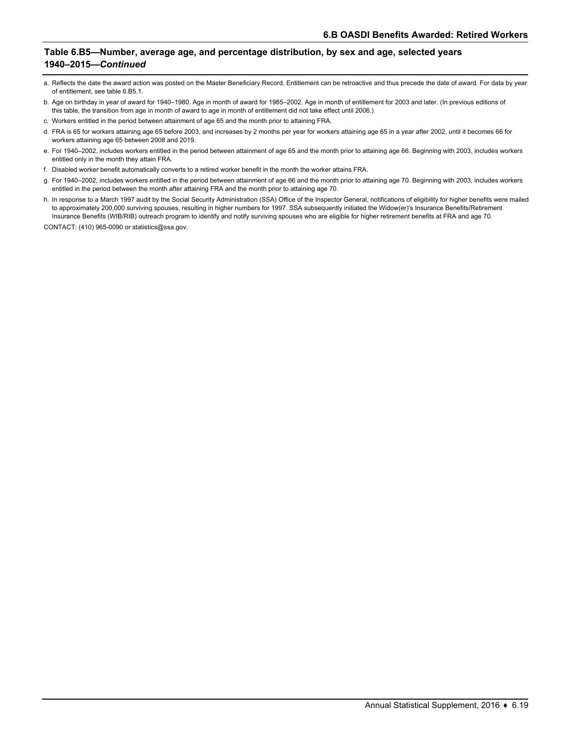#### **Table 6.B5—Number, average age, and percentage distribution, by sex and age, selected years 1940–2015—***Continued*

- a. Reflects the date the award action was posted on the Master Beneficiary Record. Entitlement can be retroactive and thus precede the date of award. For data by year of entitlement, see table 6.B5.1.
- b. Age on birthday in year of award for 1940–1980. Age in month of award for 1985–2002. Age in month of entitlement for 2003 and later. (In previous editions of this table, the transition from age in month of award to age in month of entitlement did not take effect until 2006.)
- c. Workers entitled in the period between attainment of age 65 and the month prior to attaining FRA.
- d. FRA is 65 for workers attaining age 65 before 2003, and increases by 2 months per year for workers attaining age 65 in a year after 2002, until it becomes 66 for workers attaining age 65 between 2008 and 2019.
- e. For 1940–2002, includes workers entitled in the period between attainment of age 65 and the month prior to attaining age 66. Beginning with 2003, includes workers entitled only in the month they attain FRA.
- f. Disabled worker benefit automatically converts to a retired worker benefit in the month the worker attains FRA.
- g. For 1940–2002, includes workers entitled in the period between attainment of age 66 and the month prior to attaining age 70. Beginning with 2003, includes workers entitled in the period between the month after attaining FRA and the month prior to attaining age 70.
- h. In response to a March 1997 audit by the Social Security Administration (SSA) Office of the Inspector General, notifications of eligibility for higher benefits were mailed to approximately 200,000 surviving spouses, resulting in higher numbers for 1997. SSA subsequently initiated the Widow(er)'s Insurance Benefits/Retirement Insurance Benefits (WIB/RIB) outreach program to identify and notify surviving spouses who are eligible for higher retirement benefits at FRA and age 70.